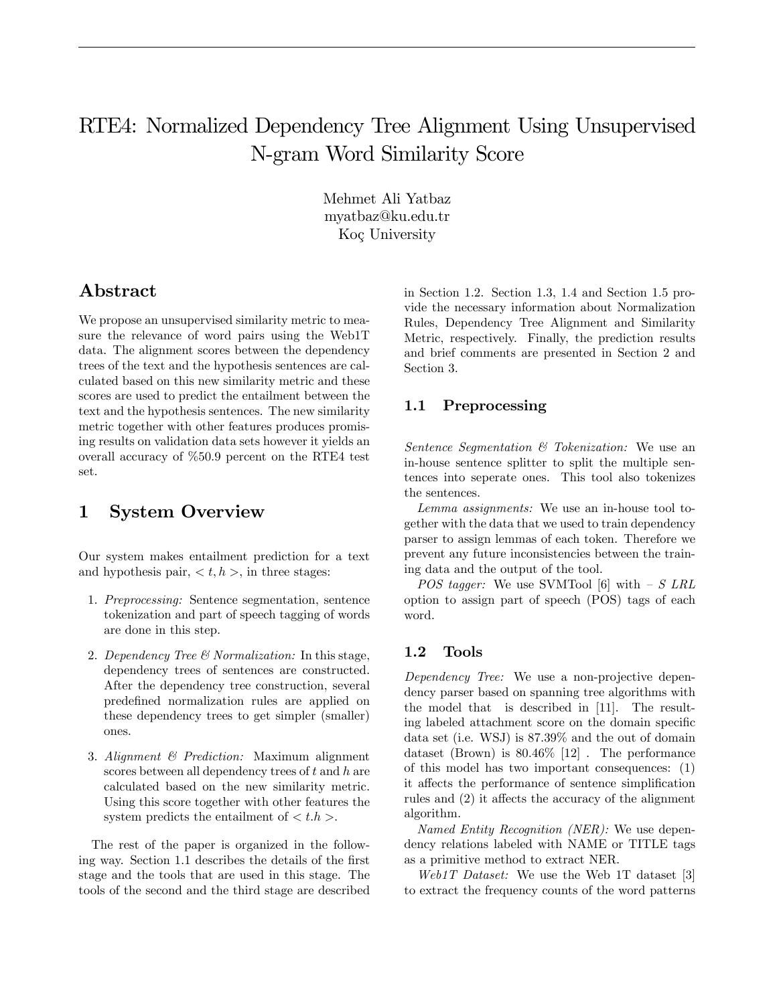# RTE4: Normalized Dependency Tree Alignment Using Unsupervised N-gram Word Similarity Score

Mehmet Ali Yatbaz myatbaz@ku.edu.tr Koç University

## Abstract

We propose an unsupervised similarity metric to measure the relevance of word pairs using the Web1T data. The alignment scores between the dependency trees of the text and the hypothesis sentences are calculated based on this new similarity metric and these scores are used to predict the entailment between the text and the hypothesis sentences. The new similarity metric together with other features produces promising results on validation data sets however it yields an overall accuracy of %50.9 percent on the RTE4 test set.

## 1 System Overview

Our system makes entailment prediction for a text and hypothesis pair,  $\langle t, h \rangle$ , in three stages:

- 1. Preprocessing: Sentence segmentation, sentence tokenization and part of speech tagging of words are done in this step.
- 2. Dependency Tree & Normalization: In this stage, dependency trees of sentences are constructed. After the dependency tree construction, several predeÖned normalization rules are applied on these dependency trees to get simpler (smaller) ones.
- 3. Alignment & Prediction: Maximum alignment scores between all dependency trees of  $t$  and  $h$  are calculated based on the new similarity metric. Using this score together with other features the system predicts the entailment of  $\langle t.h \rangle$ .

The rest of the paper is organized in the following way. Section 1.1 describes the details of the first stage and the tools that are used in this stage. The tools of the second and the third stage are described in Section 1.2. Section 1.3, 1.4 and Section 1.5 provide the necessary information about Normalization Rules, Dependency Tree Alignment and Similarity Metric, respectively. Finally, the prediction results and brief comments are presented in Section 2 and Section 3.

#### 1.1 Preprocessing

Sentence Segmentation & Tokenization: We use an in-house sentence splitter to split the multiple sentences into seperate ones. This tool also tokenizes the sentences.

Lemma assignments: We use an in-house tool together with the data that we used to train dependency parser to assign lemmas of each token. Therefore we prevent any future inconsistencies between the training data and the output of the tool.

*POS tagger:* We use SVMTool [6] with  $- S$  LRL option to assign part of speech (POS) tags of each word.

### 1.2 Tools

Dependency Tree: We use a non-projective dependency parser based on spanning tree algorithms with the model that is described in [11]. The resulting labeled attachment score on the domain specific data set (i.e. WSJ) is 87.39% and the out of domain dataset (Brown) is 80.46% [12] . The performance of this model has two important consequences: (1) it affects the performance of sentence simplification rules and  $(2)$  it affects the accuracy of the alignment algorithm.

Named Entity Recognition (NER): We use dependency relations labeled with NAME or TITLE tags as a primitive method to extract NER.

Web1T Dataset: We use the Web 1T dataset [3] to extract the frequency counts of the word patterns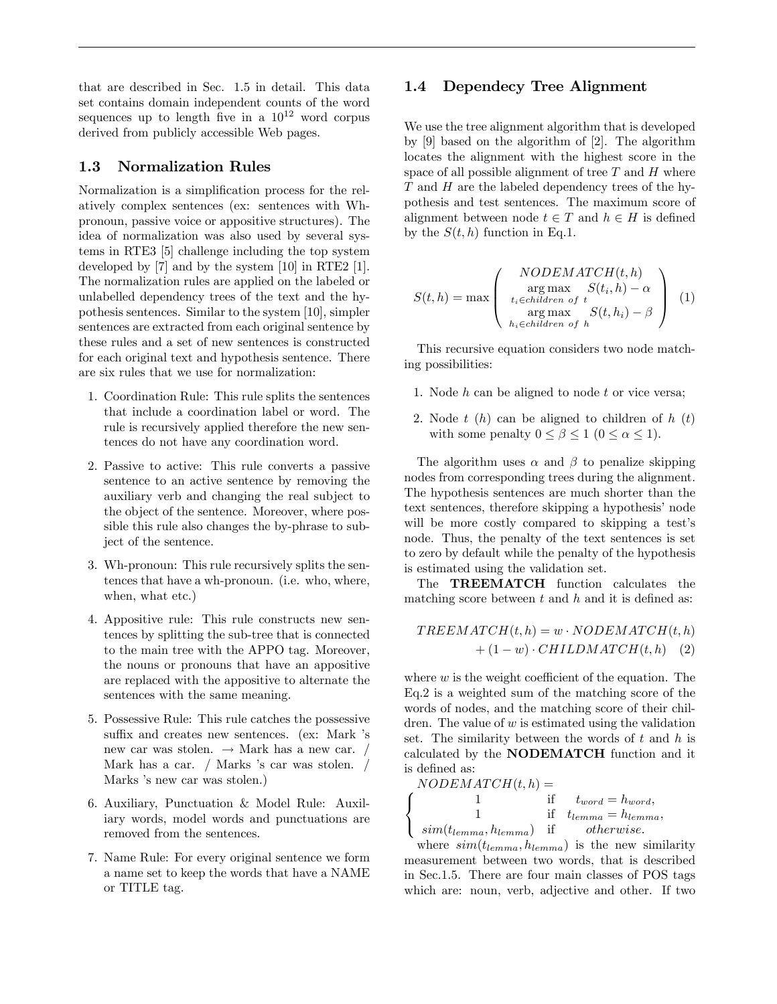that are described in Sec. 1.5 in detail. This data set contains domain independent counts of the word sequences up to length five in a  $10^{12}$  word corpus derived from publicly accessible Web pages.

#### 1.3 Normalization Rules

Normalization is a simplification process for the relatively complex sentences (ex: sentences with Whpronoun, passive voice or appositive structures). The idea of normalization was also used by several systems in RTE3 [5] challenge including the top system developed by [7] and by the system [10] in RTE2 [1]. The normalization rules are applied on the labeled or unlabelled dependency trees of the text and the hypothesis sentences. Similar to the system [10], simpler sentences are extracted from each original sentence by these rules and a set of new sentences is constructed for each original text and hypothesis sentence. There are six rules that we use for normalization:

- 1. Coordination Rule: This rule splits the sentences that include a coordination label or word. The rule is recursively applied therefore the new sentences do not have any coordination word.
- 2. Passive to active: This rule converts a passive sentence to an active sentence by removing the auxiliary verb and changing the real subject to the object of the sentence. Moreover, where possible this rule also changes the by-phrase to subject of the sentence.
- 3. Wh-pronoun: This rule recursively splits the sentences that have a wh-pronoun. (i.e. who, where, when, what etc.)
- 4. Appositive rule: This rule constructs new sentences by splitting the sub-tree that is connected to the main tree with the APPO tag. Moreover, the nouns or pronouns that have an appositive are replaced with the appositive to alternate the sentences with the same meaning.
- 5. Possessive Rule: This rule catches the possessive suffix and creates new sentences. (ex: Mark 's new car was stolen.  $\rightarrow$  Mark has a new car. / Mark has a car.  $/$  Marks 's car was stolen.  $/$ Marks 's new car was stolen.)
- 6. Auxiliary, Punctuation & Model Rule: Auxiliary words, model words and punctuations are removed from the sentences.
- 7. Name Rule: For every original sentence we form a name set to keep the words that have a NAME or TITLE tag.

#### 1.4 Dependecy Tree Alignment

We use the tree alignment algorithm that is developed by [9] based on the algorithm of [2]. The algorithm locates the alignment with the highest score in the space of all possible alignment of tree  $T$  and  $H$  where  $T$  and  $H$  are the labeled dependency trees of the hypothesis and test sentences. The maximum score of alignment between node  $t \in T$  and  $h \in H$  is defined by the  $S(t, h)$  function in Eq.1.

$$
S(t,h) = \max \left( \begin{array}{c} NODEMATCH(t,h) \\ \arg \max_{t_i \in children \text{ of } t} S(t_i,h) - \alpha \\ \arg \max_{h_i \in children \text{ of } h} S(t,h_i) - \beta \end{array} \right) (1)
$$

This recursive equation considers two node matching possibilities:

- 1. Node  $h$  can be aligned to node  $t$  or vice versa;
- 2. Node  $t(h)$  can be aligned to children of  $h(h)$ with some penalty  $0 \le \beta \le 1$   $(0 \le \alpha \le 1)$ .

The algorithm uses  $\alpha$  and  $\beta$  to penalize skipping nodes from corresponding trees during the alignment. The hypothesis sentences are much shorter than the text sentences, therefore skipping a hypothesis' node will be more costly compared to skipping a test's node. Thus, the penalty of the text sentences is set to zero by default while the penalty of the hypothesis is estimated using the validation set.

The TREEMATCH function calculates the matching score between  $t$  and  $h$  and it is defined as:

$$
TREEMATCH(t, h) = w \cdot NODEMATCH(t, h) + (1 - w) \cdot CHILDMATCH(t, h) \quad (2)
$$

where  $w$  is the weight coefficient of the equation. The Eq.2 is a weighted sum of the matching score of the words of nodes, and the matching score of their children. The value of  $w$  is estimated using the validation set. The similarity between the words of  $t$  and  $h$  is calculated by the NODEMATCH function and it is defined as:

$$
\label{eq:subm} \left\{ \begin{array}{c} \text{NODEMATCH}(t,h) = \\ 1 \quad \quad \text{if} \quad t_{word} = h_{word}, \\ 1 \quad \quad \text{if} \quad t_{lemma} = h_{lemma}, \\ sim(t_{lemma}, h_{lemma}) \quad \text{if} \quad \quad otherwise. \end{array} \right.
$$

where  $sim(t_{lemma}, h_{lemma})$  is the new similarity measurement between two words, that is described in Sec.1.5. There are four main classes of POS tags which are: noun, verb, adjective and other. If two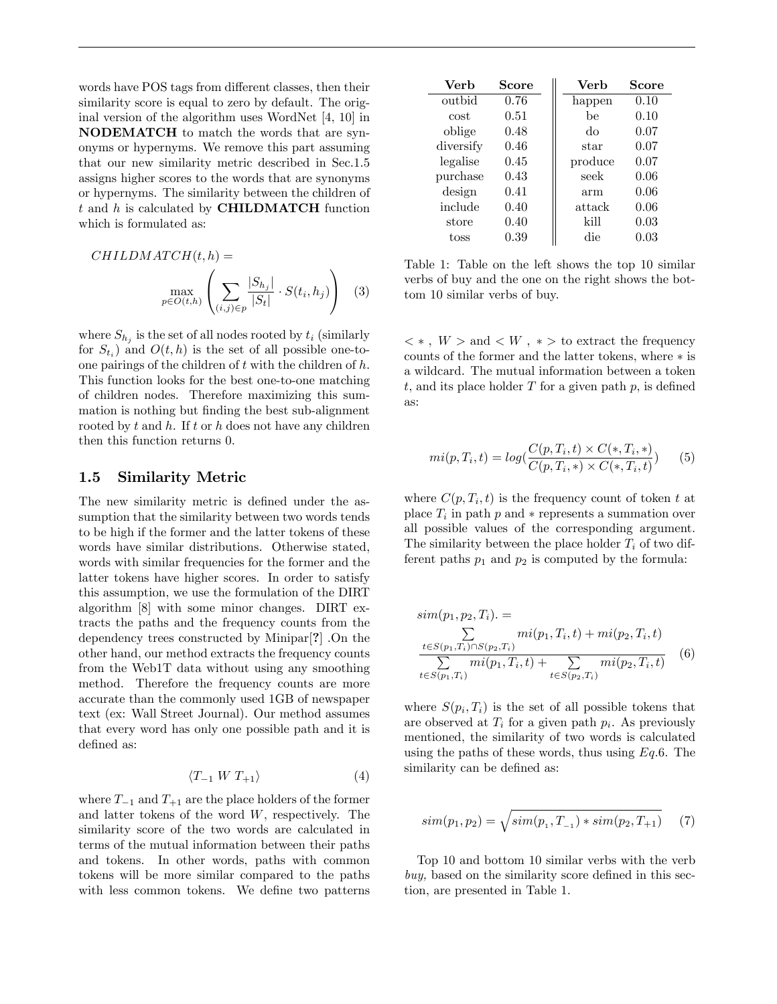words have POS tags from different classes, then their similarity score is equal to zero by default. The original version of the algorithm uses WordNet [4, 10] in NODEMATCH to match the words that are synonyms or hypernyms. We remove this part assuming that our new similarity metric described in Sec.1.5 assigns higher scores to the words that are synonyms or hypernyms. The similarity between the children of  $t$  and  $h$  is calculated by **CHILDMATCH** function which is formulated as:

$$
CHILDMATCH(t, h) = \max_{p \in O(t, h)} \left( \sum_{(i,j) \in p} \frac{|S_{h_j}|}{|S_t|} \cdot S(t_i, h_j) \right) \tag{3}
$$

where  $S_{h_j}$  is the set of all nodes rooted by  $t_i$  (similarly for  $S_{t_i}$  and  $O(t, h)$  is the set of all possible one-toone pairings of the children of  $t$  with the children of  $h$ . This function looks for the best one-to-one matching of children nodes. Therefore maximizing this summation is nothing but finding the best sub-alignment rooted by  $t$  and  $h$ . If  $t$  or  $h$  does not have any children then this function returns 0.

#### 1.5 Similarity Metric

The new similarity metric is defined under the assumption that the similarity between two words tends to be high if the former and the latter tokens of these words have similar distributions. Otherwise stated, words with similar frequencies for the former and the latter tokens have higher scores. In order to satisfy this assumption, we use the formulation of the DIRT algorithm [8] with some minor changes. DIRT extracts the paths and the frequency counts from the dependency trees constructed by Minipar[?] .On the other hand, our method extracts the frequency counts from the Web1T data without using any smoothing method. Therefore the frequency counts are more accurate than the commonly used 1GB of newspaper text (ex: Wall Street Journal). Our method assumes that every word has only one possible path and it is defined as:

$$
\langle T_{-1} \ W \ T_{+1} \rangle \tag{4}
$$

where  $T_{-1}$  and  $T_{+1}$  are the place holders of the former and latter tokens of the word  $W$ , respectively. The similarity score of the two words are calculated in terms of the mutual information between their paths and tokens. In other words, paths with common tokens will be more similar compared to the paths with less common tokens. We define two patterns

| Verb      | Score | Verb    | Score |
|-----------|-------|---------|-------|
| outbid    | 0.76  | happen  | 0.10  |
| cost      | 0.51  | hе      | 0.10  |
| oblige    | 0.48  | do      | 0.07  |
| diversify | 0.46  | star    | 0.07  |
| legalise  | 0.45  | produce | 0.07  |
| purchase  | 0.43  | seek    | 0.06  |
| design    | 0.41  | arm     | 0.06  |
| include   | 0.40  | attack  | 0.06  |
| store     | 0.40  | kill    | 0.03  |
| toss      | 0.39  | die     | 0.03  |

Table 1: Table on the left shows the top 10 similar verbs of buy and the one on the right shows the bottom 10 similar verbs of buy.

 $\lt$  \* ,  $W$   $>$  and  $\lt$   $W$  ,  $\,\ast$   $>$  to extract the frequency counts of the former and the latter tokens, where  $*$  is a wildcard. The mutual information between a token t, and its place holder  $T$  for a given path  $p$ , is defined as:

$$
mi(p, T_i, t) = log(\frac{C(p, T_i, t) \times C(*, T_i, *)}{C(p, T_i, *) \times C(*, T_i, t)})
$$
(5)

where  $C(p, T_i, t)$  is the frequency count of token t at place  $T_i$  in path p and  $*$  represents a summation over all possible values of the corresponding argument. The similarity between the place holder  $T_i$  of two different paths  $p_1$  and  $p_2$  is computed by the formula:

$$
sim(p_1, p_2, T_i) = \sum_{\substack{t \in S(p_1, T_i) \cap S(p_2, T_i) \\ t \in S(p_1, T_i)}} mi(p_1, T_i, t) + mi(p_2, T_i, t) + \sum_{t \in S(p_2, T_i)} mi(p_2, T_i, t)
$$
(6)

where  $S(p_i, T_i)$  is the set of all possible tokens that are observed at  $T_i$  for a given path  $p_i$ . As previously mentioned, the similarity of two words is calculated using the paths of these words, thus using  $Eq.6$ . The similarity can be defined as:

$$
sim(p_1, p_2) = \sqrt{sim(p_1, T_{-1}) * sim(p_2, T_{+1})}
$$
 (7)

Top 10 and bottom 10 similar verbs with the verb  $buy,$  based on the similarity score defined in this section, are presented in Table 1.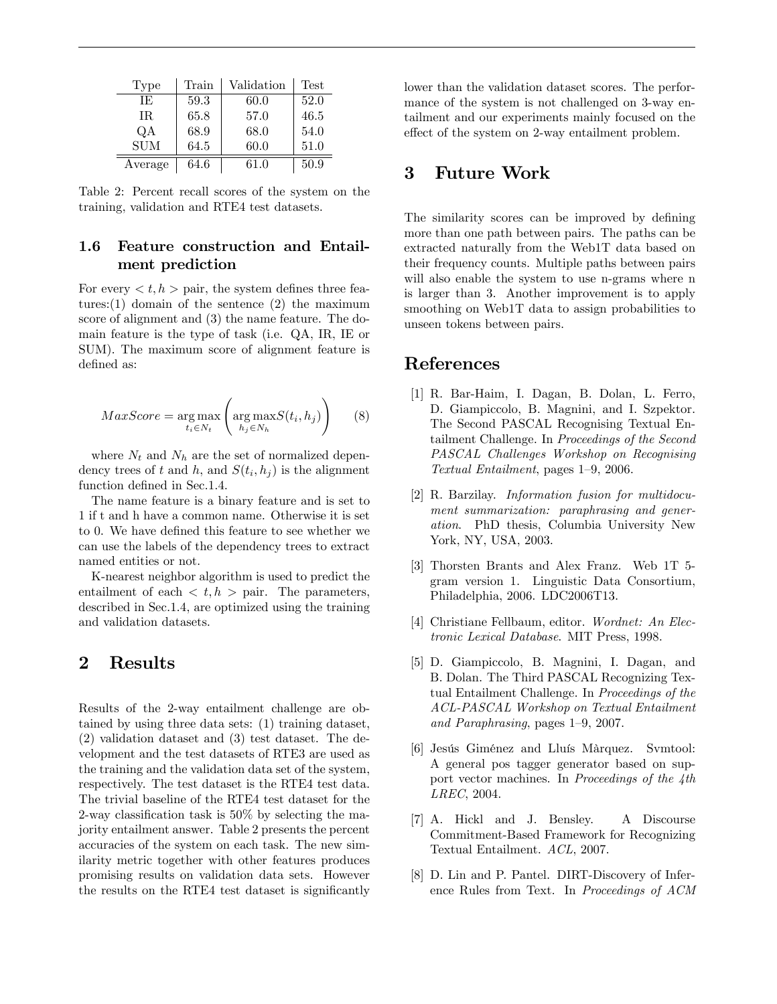| Type       | Train | Validation | <b>Test</b> |
|------------|-------|------------|-------------|
| IE.        | 59.3  | 60.0       | 52.0        |
| IR.        | 65.8  | 57.0       | 46.5        |
| QA         | 68.9  | 68.0       | 54.0        |
| <b>SUM</b> | 64.5  | 60.0       | 51.0        |
| Average    | 64.6  | 61.0       | 50.9        |

Table 2: Percent recall scores of the system on the training, validation and RTE4 test datasets.

#### 1.6 Feature construction and Entailment prediction

For every  $\langle t, h \rangle$  pair, the system defines three features:(1) domain of the sentence (2) the maximum score of alignment and (3) the name feature. The domain feature is the type of task (i.e. QA, IR, IE or SUM). The maximum score of alignment feature is defined as:

$$
MaxScore = \underset{t_i \in N_t}{\arg \max} \left( \underset{h_j \in N_h}{\arg \max} S(t_i, h_j) \right) \tag{8}
$$

where  $N_t$  and  $N_h$  are the set of normalized dependency trees of t and h, and  $S(t_i, h_j)$  is the alignment function defined in Sec.1.4.

The name feature is a binary feature and is set to 1 if t and h have a common name. Otherwise it is set to 0. We have defined this feature to see whether we can use the labels of the dependency trees to extract named entities or not.

K-nearest neighbor algorithm is used to predict the entailment of each  $\langle t, h \rangle$  pair. The parameters, described in Sec.1.4, are optimized using the training and validation datasets.

## 2 Results

Results of the 2-way entailment challenge are obtained by using three data sets: (1) training dataset, (2) validation dataset and (3) test dataset. The development and the test datasets of RTE3 are used as the training and the validation data set of the system, respectively. The test dataset is the RTE4 test data. The trivial baseline of the RTE4 test dataset for the 2-way classification task is  $50\%$  by selecting the majority entailment answer. Table 2 presents the percent accuracies of the system on each task. The new similarity metric together with other features produces promising results on validation data sets. However the results on the RTE4 test dataset is significantly lower than the validation dataset scores. The performance of the system is not challenged on 3-way entailment and our experiments mainly focused on the effect of the system on 2-way entailment problem.

## 3 Future Work

The similarity scores can be improved by defining more than one path between pairs. The paths can be extracted naturally from the Web1T data based on their frequency counts. Multiple paths between pairs will also enable the system to use n-grams where n is larger than 3. Another improvement is to apply smoothing on Web1T data to assign probabilities to unseen tokens between pairs.

#### References

- [1] R. Bar-Haim, I. Dagan, B. Dolan, L. Ferro, D. Giampiccolo, B. Magnini, and I. Szpektor. The Second PASCAL Recognising Textual Entailment Challenge. In Proceedings of the Second PASCAL Challenges Workshop on Recognising Textual Entailment, pages  $1-9$ , 2006.
- [2] R. Barzilay. Information fusion for multidocument summarization: paraphrasing and generation. PhD thesis, Columbia University New York, NY, USA, 2003.
- [3] Thorsten Brants and Alex Franz. Web 1T 5 gram version 1. Linguistic Data Consortium, Philadelphia, 2006. LDC2006T13.
- [4] Christiane Fellbaum, editor. Wordnet: An Electronic Lexical Database. MIT Press, 1998.
- [5] D. Giampiccolo, B. Magnini, I. Dagan, and B. Dolan. The Third PASCAL Recognizing Textual Entailment Challenge. In Proceedings of the ACL-PASCAL Workshop on Textual Entailment and Paraphrasing, pages  $1-9$ , 2007.
- [6] Jesús Giménez and Lluís Màrquez. Symtool: A general pos tagger generator based on support vector machines. In Proceedings of the 4th LREC, 2004.
- [7] A. Hickl and J. Bensley. A Discourse Commitment-Based Framework for Recognizing Textual Entailment. ACL, 2007.
- [8] D. Lin and P. Pantel. DIRT-Discovery of Inference Rules from Text. In Proceedings of ACM